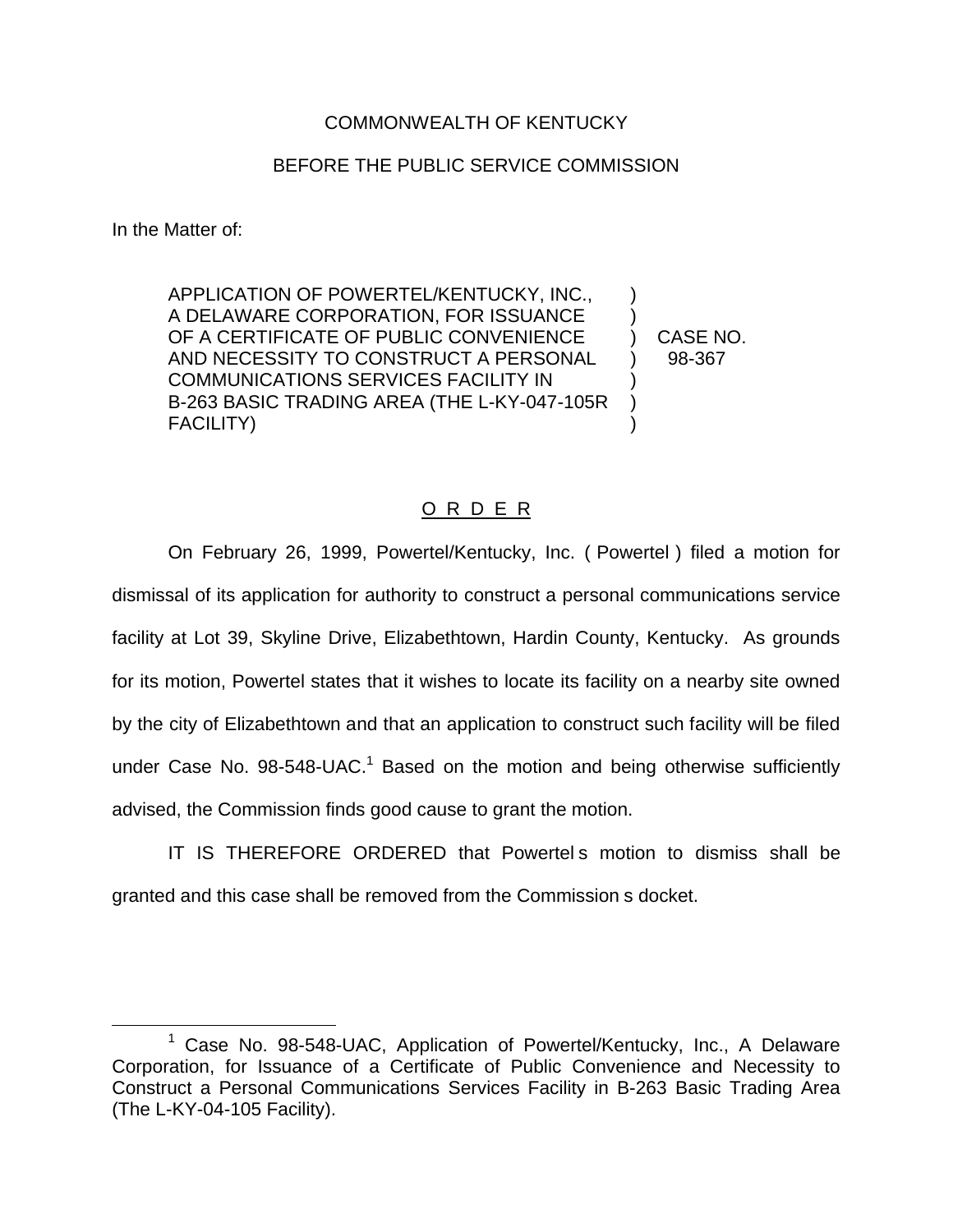## COMMONWEALTH OF KENTUCKY

## BEFORE THE PUBLIC SERVICE COMMISSION

In the Matter of:

APPLICATION OF POWERTEL/KENTUCKY, INC., ) A DELAWARE CORPORATION, FOR ISSUANCE ) OF A CERTIFICATE OF PUBLIC CONVENIENCE ) CASE NO. AND NECESSITY TO CONSTRUCT A PERSONAL ) 98-367 COMMUNICATIONS SERVICES FACILITY IN ) B-263 BASIC TRADING AREA (THE L-KY-047-105R ) FACILITY) )

## O R D E R

On February 26, 1999, Powertel/Kentucky, Inc. ( Powertel ) filed a motion for dismissal of its application for authority to construct a personal communications service facility at Lot 39, Skyline Drive, Elizabethtown, Hardin County, Kentucky. As grounds for its motion, Powertel states that it wishes to locate its facility on a nearby site owned by the city of Elizabethtown and that an application to construct such facility will be filed under Case No.  $98-548$ -UAC.<sup>1</sup> Based on the motion and being otherwise sufficiently advised, the Commission finds good cause to grant the motion.

IT IS THEREFORE ORDERED that Powertel s motion to dismiss shall be granted and this case shall be removed from the Commission s docket.

<sup>1</sup> Case No. 98-548-UAC, Application of Powertel/Kentucky, Inc., A Delaware Corporation, for Issuance of a Certificate of Public Convenience and Necessity to Construct a Personal Communications Services Facility in B-263 Basic Trading Area (The L-KY-04-105 Facility).